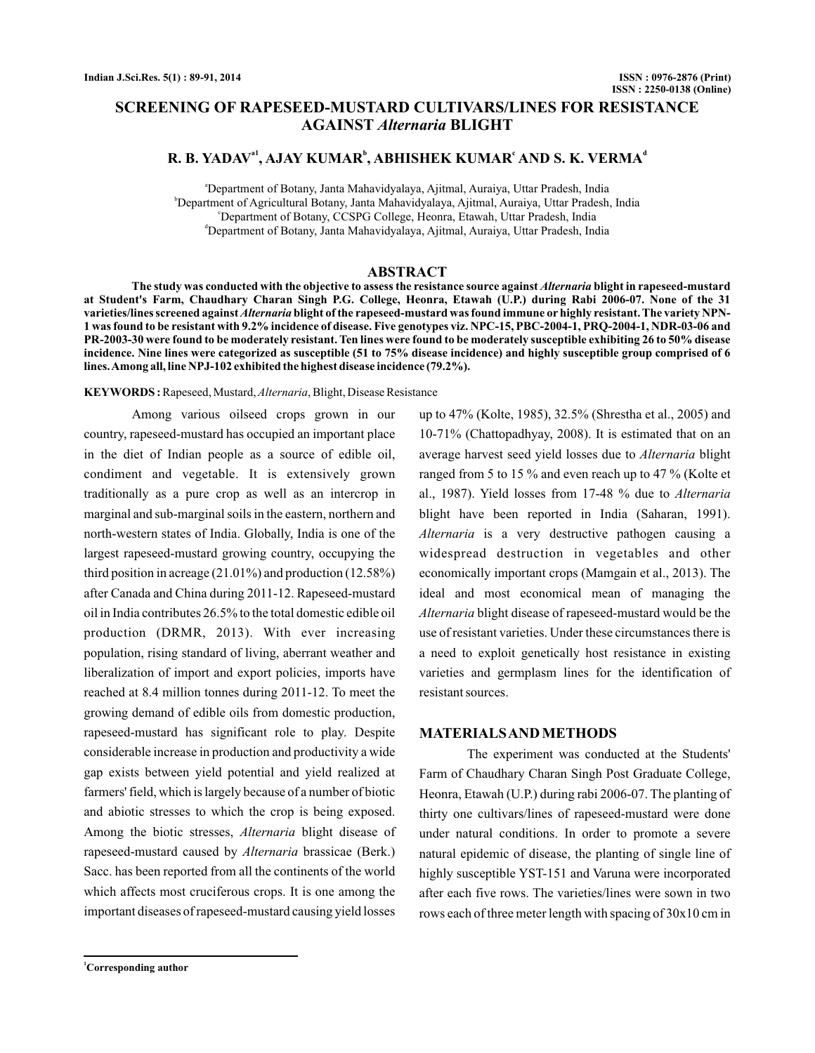# **SCREENING OF RAPESEED-MUSTARD CULTIVARS/LINES FOR RESISTANCE AGAINST Alternaria BLIGHT**

## **R. B. YADAV<sup>a1</sup>, AJAY KUMAR<sup>b</sup>, ABHISHEK KUMAR<sup>c</sup> AND S. K. VERMA<sup>d</sup>**

a Department of Botany, Janta Mahavidyalaya, Ajitmal, Auraiya, Uttar Pradesh, India b Department of Agricultural Botany, Janta Mahavidyalaya, Ajitmal, Auraiya, Uttar Pradesh, India c Department of Botany, CCSPG College, Heonra, Etawah, Uttar Pradesh, India d Department of Botany, Janta Mahavidyalaya, Ajitmal, Auraiya, Uttar Pradesh, India

## **ABSTRACT**

The study was conducted with the objective to assess the resistance source against *Alternaria* blight in rapeseed-mustard **at Student's Farm, Chaudhary Charan Singh P.G. College, Heonra, Etawah (U.P.) during Rabi 2006-07. None of the 31** varieties/lines screened against *Alternaria* blight of the rapeseed-mustard was found immune or highly resistant. The variety NPN-**1 was found to be resistant with 9.2% incidence of disease. Five genotypes viz. NPC-15, PBC-2004-1, PRQ-2004-1, NDR-03-06 and PR-2003-30 were found to be moderately resistant. Ten lines were found to be moderately susceptible exhibiting 26 to 50% disease incidence. Nine lines were categorized as susceptible (51 to 75% disease incidence) and highly susceptible group comprised of 6 lines.Among all, line NPJ-102 exhibited the highest disease incidence (79.2%).**

KEYWORDS: Rapeseed, Mustard, Alternaria, Blight, Disease Resistance

Among various oilseed crops grown in our country, rapeseed-mustard has occupied an important place in the diet of Indian people as a source of edible oil, condiment and vegetable. It is extensively grown traditionally as a pure crop as well as an intercrop in marginal and sub-marginal soils in the eastern, northern and north-western states of India. Globally, India is one of the largest rapeseed-mustard growing country, occupying the third position in acreage (21.01%) and production (12.58%) after Canada and China during 2011-12. Rapeseed-mustard oil in India contributes 26.5% to the total domestic edible oil production (DRMR, 2013). With ever increasing population, rising standard of living, aberrant weather and liberalization of import and export policies, imports have reached at 8.4 million tonnes during 2011-12. To meet the growing demand of edible oils from domestic production, rapeseed-mustard has significant role to play. Despite considerable increase in production and productivity a wide gap exists between yield potential and yield realized at farmers' field, which is largely because of a number of biotic and abiotic stresses to which the crop is being exposed. Among the biotic stresses, *Alternaria* blight disease of rapeseed-mustard caused by Alternaria brassicae (Berk.) Sacc. has been reported from all the continents of the world which affects most cruciferous crops. It is one among the important diseases of rapeseed-mustard causing yield losses

up to 47% (Kolte, 1985), 32.5% (Shrestha et al., 2005) and 10-71% (Chattopadhyay, 2008). It is estimated that on an average harvest seed yield losses due to Alternaria blight ranged from 5 to 15 % and even reach up to 47 % (Kolte et al., 1987). Yield losses from 17-48 % due to *Alternaria* blight have been reported in India (Saharan, 1991). Alternaria is a very destructive pathogen causing a widespread destruction in vegetables and other economically important crops (Mamgain et al., 2013). The ideal and most economical mean of managing the Alternaria blight disease of rapeseed-mustard would be the use of resistant varieties. Under these circumstances there is a need to exploit genetically host resistance in existing varieties and germplasm lines for the identification of resistant sources.

### **MATERIALSAND METHODS**

The experiment was conducted at the Students' Farm of Chaudhary Charan Singh Post Graduate College, Heonra, Etawah (U.P.) during rabi 2006-07. The planting of thirty one cultivars/lines of rapeseed-mustard were done under natural conditions. In order to promote a severe natural epidemic of disease, the planting of single line of highly susceptible YST-151 and Varuna were incorporated after each five rows. The varieties/lines were sown in two rows each of three meter length with spacing of 30x10 cm in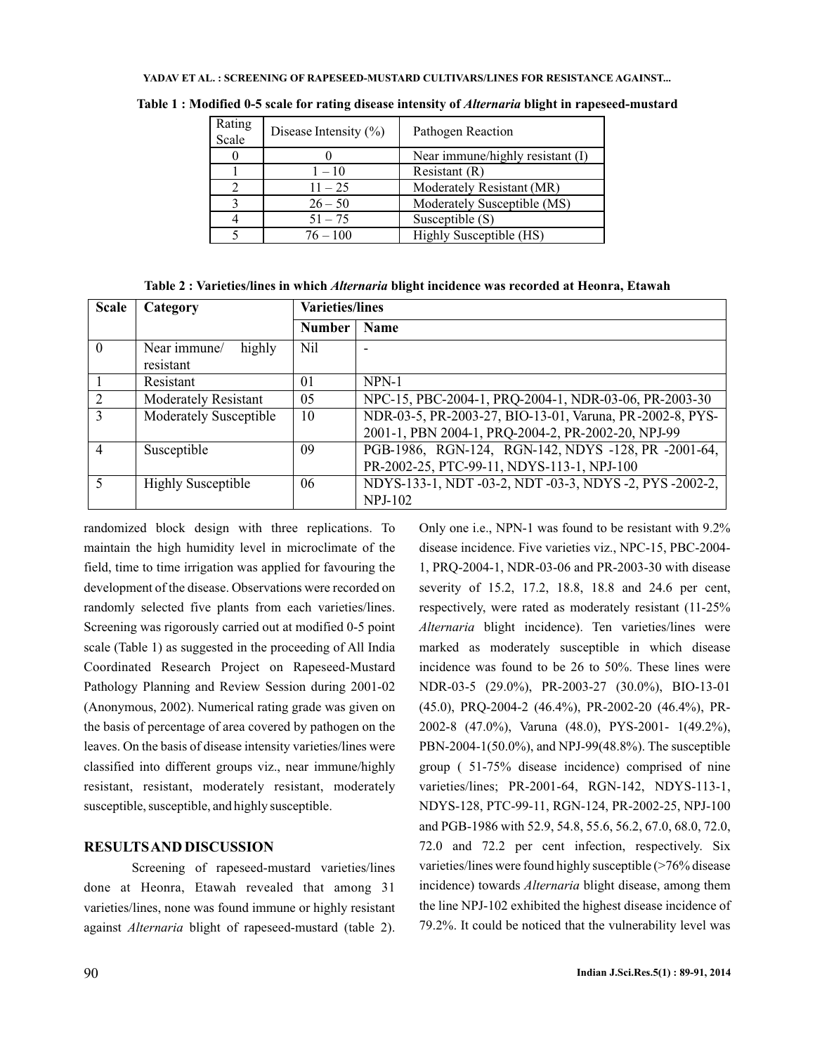#### **YADAV ET AL. : SCREENING OF RAPESEED-MUSTARD CULTIVARS/LINES FOR RESISTANCE AGAINST...**

| Rating<br>Scale | Disease Intensity $(\% )$ | Pathogen Reaction                |
|-----------------|---------------------------|----------------------------------|
|                 |                           | Near immune/highly resistant (I) |
|                 | $1 - 10$                  | Resistant (R)                    |
|                 | $11 - 25$                 | Moderately Resistant (MR)        |
|                 | $26 - 50$                 | Moderately Susceptible (MS)      |
|                 | $51 - 75$                 | Susceptible (S)                  |
|                 | $76 - 100$                | Highly Susceptible (HS)          |
|                 |                           |                                  |

Table 1 : Modified 0-5 scale for rating disease intensity of *Alternaria* blight in rapeseed-mustard

| <b>Scale</b>             | Category                            | <b>Varieties/lines</b> |                                                                                                                |
|--------------------------|-------------------------------------|------------------------|----------------------------------------------------------------------------------------------------------------|
|                          |                                     | <b>Number</b>          | <b>Name</b>                                                                                                    |
| $\theta$                 | Near immune/<br>highly<br>resistant | Nil                    | ۰                                                                                                              |
|                          | Resistant                           | 01                     | NPN-1                                                                                                          |
| $\mathcal{D}$            | <b>Moderately Resistant</b>         | 05                     | NPC-15, PBC-2004-1, PRQ-2004-1, NDR-03-06, PR-2003-30                                                          |
| $\mathcal{R}$            | <b>Moderately Susceptible</b>       | 10                     | NDR-03-5, PR-2003-27, BIO-13-01, Varuna, PR-2002-8, PYS-<br>2001-1, PBN 2004-1, PRQ-2004-2, PR-2002-20, NPJ-99 |
| $\overline{4}$           | Susceptible                         | 09                     | PGB-1986, RGN-124, RGN-142, NDYS -128, PR -2001-64,<br>PR-2002-25, PTC-99-11, NDYS-113-1, NPJ-100              |
| $\overline{\mathcal{L}}$ | <b>Highly Susceptible</b>           | 06                     | NDYS-133-1, NDT-03-2, NDT-03-3, NDYS-2, PYS-2002-2,<br><b>NPJ-102</b>                                          |

randomized block design with three replications. To maintain the high humidity level in microclimate of the field, time to time irrigation was applied for favouring the development of the disease. Observations were recorded on randomly selected five plants from each varieties/lines. Screening was rigorously carried out at modified 0-5 point scale (Table 1) as suggested in the proceeding of All India Coordinated Research Project on Rapeseed-Mustard Pathology Planning and Review Session during 2001-02 (Anonymous, 2002). Numerical rating grade was given on the basis of percentage of area covered by pathogen on the leaves. On the basis of disease intensity varieties/lines were classified into different groups viz., near immune/highly resistant, resistant, moderately resistant, moderately susceptible, susceptible, and highly susceptible.

## **RESULTSAND DISCUSSION**

Screening of rapeseed-mustard varieties/lines done at Heonra, Etawah revealed that among 31 varieties/lines, none was found immune or highly resistant against Alternaria blight of rapeseed-mustard (table 2).

Only one i.e., NPN-1 was found to be resistant with 9.2% disease incidence. Five varieties viz., NPC-15, PBC-2004- 1, PRQ-2004-1, NDR-03-06 and PR-2003-30 with disease severity of 15.2, 17.2, 18.8, 18.8 and 24.6 per cent, respectively, were rated as moderately resistant (11-25% Alternaria blight incidence). Ten varieties/lines were marked as moderately susceptible in which disease incidence was found to be 26 to 50%. These lines were NDR-03-5 (29.0%), PR-2003-27 (30.0%), BIO-13-01 (45.0), PRQ-2004-2 (46.4%), PR-2002-20 (46.4%), PR-2002-8 (47.0%), Varuna (48.0), PYS-2001- 1(49.2%), PBN-2004-1(50.0%), and NPJ-99(48.8%). The susceptible group ( 51-75% disease incidence) comprised of nine varieties/lines; PR-2001-64, RGN-142, NDYS-113-1, NDYS-128, PTC-99-11, RGN-124, PR-2002-25, NPJ-100 and PGB-1986 with 52.9, 54.8, 55.6, 56.2, 67.0, 68.0, 72.0, 72.0 and 72.2 per cent infection, respectively. Six varieties/lines were found highly susceptible (>76% disease incidence) towards *Alternaria* blight disease, among them the line NPJ-102 exhibited the highest disease incidence of 79.2%. It could be noticed that the vulnerability level was